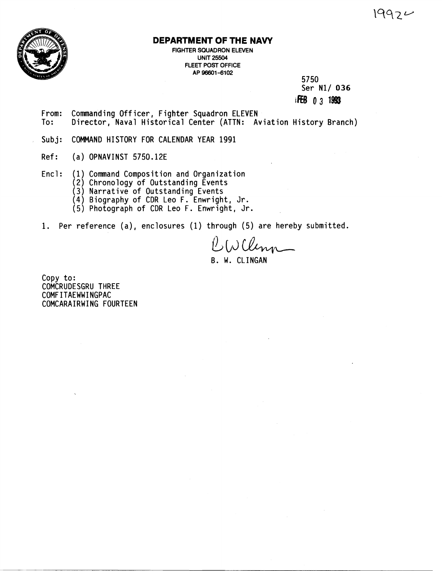

## **DEPARTMENT OF THE NAVY**

FIGHTER SQUADRON ELEVEN UNIT **25504**  FLEET POST OFFICE AP 96601-6102

5750 **Ser N1/ 036**  iff6 **0 3 1@8** 

- **From: Commanding Officer** , **Fighter Squadron ELEVEN To: Director, Naval Historical Center (ATTN: Aviation History Branch)**
- **Subj: COMMAND HISTORY FOR CALENDAR YEAR 1991**
- **Ref** : **(a) OPNAVINST 5750.12E**
- **Encl** : **(1) Command Composition and Organization** 
	- **(2) Chronology of Outstanding Events**
	- **(3) Narrative of Outstanding Events**
	- **(4) Biography of CDR Leo F. Enwright, Jr.**
	- **(5) Photograph of CDR Leo** F. **Enwright, Jr.**
- **1. Per reference (a), enclosures (1) through (5) are hereby submitted.**

 $\beta$ , (blem B. **W. CLINGAN** 

**Copy to: COMCRUDESGRU THREE COMF ITAEWWINGPAC COMCARAIRW ING FOURTEEN**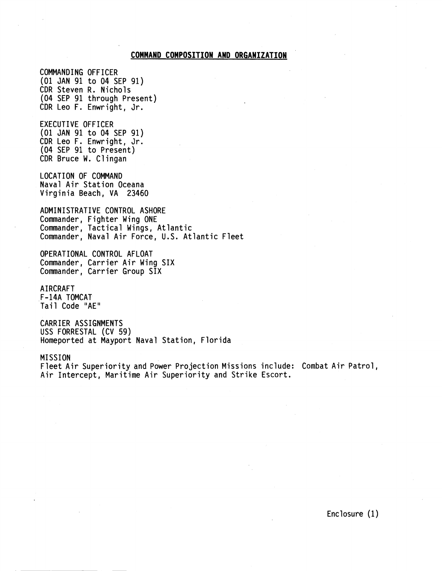### **COMMAND COMPOSITION AND ORGANIZATION**

COMMANDING OFFICER (01 JAN 91 to 04 SEP 91) CDR Steven R. Nichols (04 SEP 91 through Present) CDR Leo F. Enwright, Jr.

EXECUTIVE OFFICER (01 JAN 91 to 04 SEP 91) CDR Leo F. Enwright, Jr. (04 SEP 91 to Present) CDR Bruce W. Cl ingan

LOCATION OF COMMAND Naval Air Station Oceana Virginia Beach, VA 23460

ADMINISTRATIVE CONTROL ASHORE Commander, Fighter Wing ONE Commander, Tactical Wings, Atlantic Commander, Naval Air Force, U.S. Atlantic Fleet

OPERATIONAL CONTROL AFLOAT Commander, Carrier Air Wing SIX Commander, Carrier Group SIX

AIRCRAFT F-14A TOMCAT Tail Code "AE"

CARRIER ASSIGNMENTS USS FORRESTAL (CV 59) Homeported at Mayport Naval Station, Florida

MISSION

Fleet Air Superiority and Power Projection Missions include: Combat Air Patrol, Air Intercept, Maritime Air Superiority and Strike Escort.

Enclosure (1)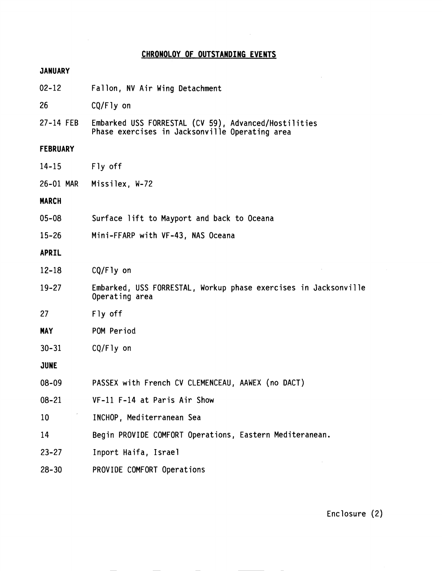### **CHRONOLOY OF OUTSTANDING EVENTS**

# **JANUARY**  02-12 Fallon, NV Air Wing Detachment 26 CQ/Fly on 27-14 FEB Embarked USS FORRESTAL (CV **59),** Advanced/Host i 1 it ies Phase exercises in Jacksonville Operating area **FEBRUARY**  14-15 Fly off 26-01 MAR Missilex, W-72 **MARCH**  05-08 Surface lift to Mayport and back to Oceana 15-26 Mini-FFARP with VF-43, NAS Oceana **APRIL**  12-18  $CQ/Fly$  on 19-27 Embarked, USS FORRESTAL, Workup phase exercises in Jacksonville Operating area 27 Fly off **MAY**  POM Period 30-31  $CQ/Fly$  on **JUNE**  08-09 PASSEX with French CV CLEMENCEAU, AAWEX (no DACT) 08-21 VF-11 F-14 at Paris Air Show 10 INCHOP, Mediterranean Sea 14 Begin PROVIDE COMFORT Operations, Eastern Mediteranean. 23-27 Inport Haifa, Israel

28- 30 PROVIDE COMFORT Operations

Enclosure (2)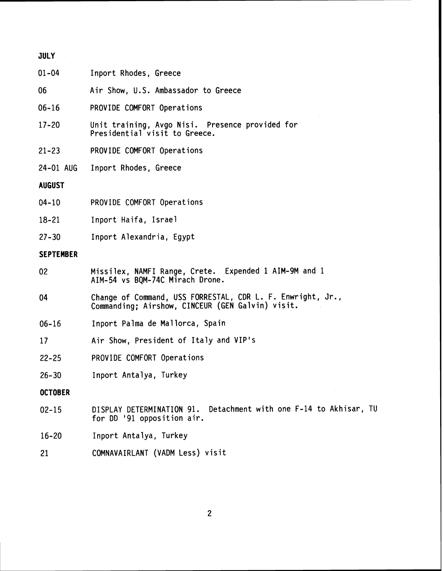| <b>JULY</b>      |                                                                                                                |  |  |  |  |  |
|------------------|----------------------------------------------------------------------------------------------------------------|--|--|--|--|--|
| $01 - 04$        | Inport Rhodes, Greece                                                                                          |  |  |  |  |  |
| 06               | Air Show, U.S. Ambassador to Greece                                                                            |  |  |  |  |  |
| $06 - 16$        | PROVIDE COMFORT Operations                                                                                     |  |  |  |  |  |
| $17 - 20$        | Unit training, Avgo Nisi. Presence provided for<br>Presidential visit to Greece.                               |  |  |  |  |  |
| $21 - 23$        | PROVIDE COMFORT Operations                                                                                     |  |  |  |  |  |
| 24-01 AUG        | Inport Rhodes, Greece                                                                                          |  |  |  |  |  |
| <b>AUGUST</b>    |                                                                                                                |  |  |  |  |  |
| $04 - 10$        | PROVIDE COMFORT Operations                                                                                     |  |  |  |  |  |
| $18 - 21$        | Inport Haifa, Israel                                                                                           |  |  |  |  |  |
| $27 - 30$        | Inport Alexandria, Egypt                                                                                       |  |  |  |  |  |
| <b>SEPTEMBER</b> |                                                                                                                |  |  |  |  |  |
| 02               | Missilex, NAMFI Range, Crete. Expended 1 AIM-9M and 1<br>AIM-54 vs BQM-74C Mirach Drone.                       |  |  |  |  |  |
| 04               | Change of Command, USS FORRESTAL, CDR L. F. Enwright, Jr.,<br>Commanding; Airshow, CINCEUR (GEN Galvin) visit. |  |  |  |  |  |
| $06 - 16$        | Inport Palma de Mallorca, Spain                                                                                |  |  |  |  |  |
| 17               | Air Show, President of Italy and VIP's                                                                         |  |  |  |  |  |
| $22 - 25$        | PROVIDE COMFORT Operations                                                                                     |  |  |  |  |  |
| $26 - 30$        | Inport Antalya, Turkey                                                                                         |  |  |  |  |  |
| <b>OCTOBER</b>   |                                                                                                                |  |  |  |  |  |
| $02 - 15$        | Detachment with one F-14 to Akhisar, TU<br>DISPLAY DETERMINATION 91.<br>for DD '91 opposition air.             |  |  |  |  |  |
| $16 - 20$        | Inport Antalya, Turkey                                                                                         |  |  |  |  |  |
| 21               | COMNAVAIRLANT (VADM Less) visit                                                                                |  |  |  |  |  |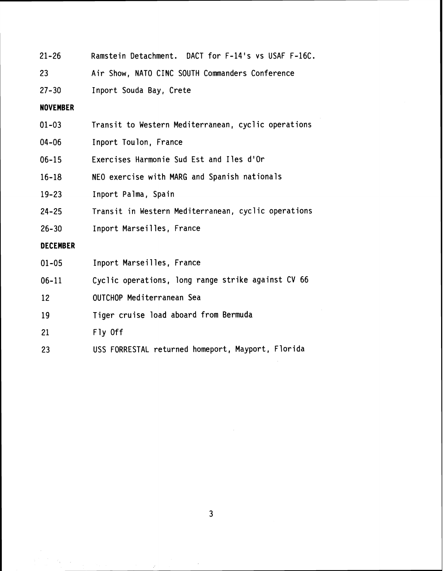| 21-26     | Ramstein Detachment. DACT for F-14's vs USAF F-16C. |
|-----------|-----------------------------------------------------|
| -23       | Air Show, NATO CINC SOUTH Commanders Conference     |
| $27 - 30$ | Inport Souda Bay, Crete                             |

**NOVEMBER** 

| $01 - 03$ |  |  |  | Transit to Western Mediterranean, cyclic operations |  |  |
|-----------|--|--|--|-----------------------------------------------------|--|--|
|-----------|--|--|--|-----------------------------------------------------|--|--|

- 04-06 Inport Toulon, France
- 06-15 Exercises Harmonie Sud Est and Iles d'Or
- 16-18 NEO exercise with MARG and Spanish nationals
- 19-23 Inport Palma, Spain
- 24-25 Transit in Western Mediterranean, cyclic operations
- 26-30 Inport Marseilles, France

## DECEMBER

A.  $\mathcal{L}_{\mathrm{in}}$ 

| $01 - 05$ | Inport Marseilles, France |  |
|-----------|---------------------------|--|
|           |                           |  |

- 06- 11 Cyclic operations, long range strike against CV 66
- 12 OUTCHOP Mediterranean Sea
- 19 Tiger cruise load aboard from Bermuda
- $21$ Fly Off
- 23 USS FORRESTAL returned homeport, Mayport, Florida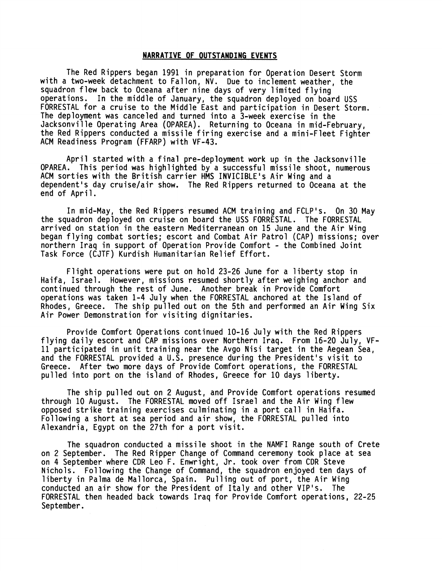#### **NARRATIVE OF OUTSTANDING EVENTS**

The Red Rippers began 1991 in preparation for Operation Desert Storm with a two-week detachment to Fallon, NV. Due to inclement weather, the squadron flew back to Oceana after nine days of very limited flying operations. In the middle of January, the squadron deployed on board USS FORRESTAL for a cruise to the Middle East and participation in Desert Storm. The deployment was canceled and turned into a 3-week exercise in the Jacksonville Operating Area (OPAREA). Returning to Oceana in mid-February, the Red Rippers conducted a missile firing exercise and a mini-Fleet Fighter ACM Readiness Program (FFARP) with VF-43.

April started with a final pre-deployment work up in the Jacksonville OPAREA. This period was highlighted by a successful missile shoot, numerous ACM sorties with the British carrier HMS INVICIBLEis Air Wing and a dependent's day cruise/air show. The Red Rippers returned to Oceana at the end of April.

In mid-May, the Red Rippers resumed ACM training and FCLPis. On 30 May the squadron deployed on cruise on board the USS FORRESTAL. The FORRESTAL arrived on station in the eastern Mediterranean on 15 June and the Air Wing began flying combat sorties; escort and Combat Air Patrol (CAP) missions; over northern Iraq in support of Operation Provide Comfort - the Combined Joint Task Force (CJTF) Kurdish Humanitarian Re1 ief Effort.

Flight operations were put on hold 23-26 June for a liberty stop in Haifa, Israel. However, missions resumed shortly after weighing anchor and continued through the rest of June. Another break in Provide Comfort operations was taken 1-4 July when the FORRESTAL anchored at the Island of Rhodes, Greece. The ship pulled out on the 5th and performed an Air Wing Six Air Power Demonstration for visiting dignitaries.

Provide Comfort Operations continued 10-16 July with the Red Rippers flying daily escort and CAP missions over Northern Iraq. From 16-20 July, VF-11 participated in unit training near the Avgo Nisi target in the Aegean Sea, and the FORRESTAL provided a U.S. presence during the President's visit to Greece. After two more days of Provide Comfort operations, the FORRESTAL pulled into port on the island of Rhodes, Greece for 10 days liberty.

The ship pulled out on 2 August, and Provide Comfort operations resumed through 10 August. The FORRESTAL moved off Israel and the Air Wing flew opposed strike training exercises culminating in a port call in Haifa. Following a short at sea period and air show, the FORRESTAL pulled into Alexandria, Egypt on the 27th for a port visit.

The squadron conducted a missile shoot in the NAMFI Range south of Crete on 2 September. The Red Ripper Change of Command ceremony took place at sea on 4 September where CDR Leo F. Enwright, Jr. took over from CDR Steve Nichols. Following the Change of Command, the squadron enjoyed ten days of liberty in Palma de Mallorca, Spain. Pulling out of port, the Air Wing conducted an air show for the President of Italy and other VIP's. The FORRESTAL then headed back towards Iraq for Provide Comfort operat ions, 22-25 September.